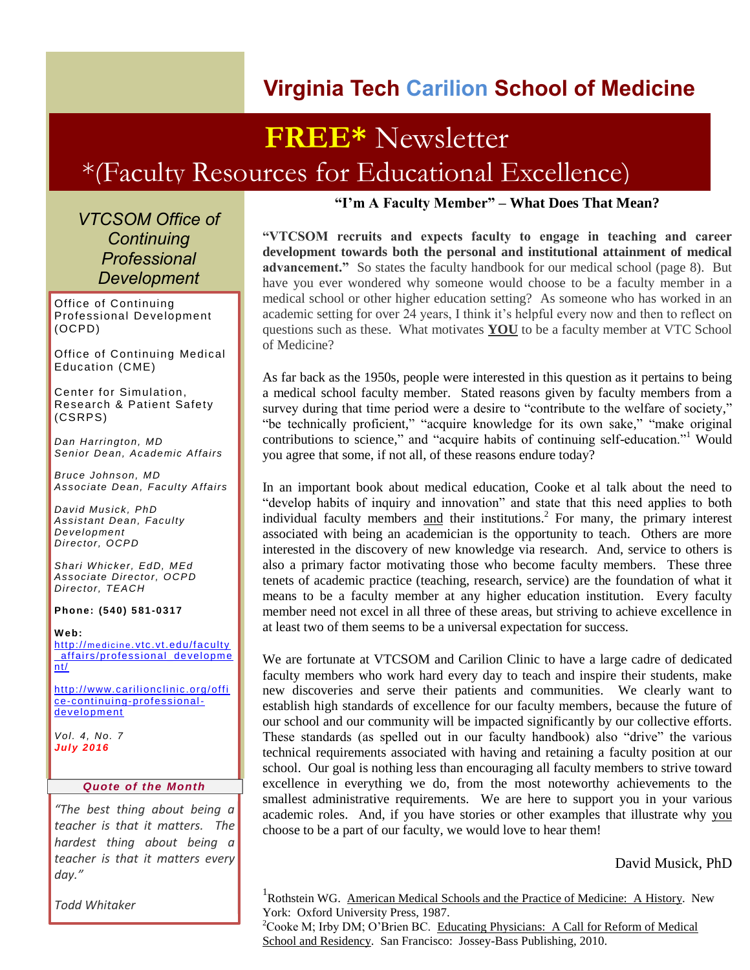### **Virginia Tech Carilion School of Medicine**

## **FREE\*** Newsletter \*(Faculty Resources for Educational Excellence)

*VTCSOM Office of Continuing Professional Development*

Office of Continuing Professional Development (OCPD)

Office of Continuing Medical Education (CME)

Center for Simulation, Research & Patient Safety (CSRPS)

*Dan Harrington, MD Senior Dean, Academic Affairs*

*Bruce Johnson, MD Associate Dean, Faculty Affairs*

*David Musick, PhD Assistant Dean, Faculty Development Director, OCPD*

*Shari Whicker, EdD, MEd Associate Director, OCPD Director, TEACH*

**Phone: (540) 5 81-0317**

**W eb:** http://medicine.vtc.vt.edu/faculty [\\_affairs/professional\\_developme](http://medicine.vtc.vt.edu/faculty_affairs/professional_development/) [nt/](http://medicine.vtc.vt.edu/faculty_affairs/professional_development/)

http://www.carilionclinic.org/offi [ce-continuing-professional](http://www.carilionclinic.org/office-continuing-professional-development)[development](http://www.carilionclinic.org/office-continuing-professional-development)

*Vol. 4, No. 7 July 2016*

#### *Quote of the Month*

*"The best thing about being a teacher is that it matters. The hardest thing about being a teacher is that it matters every day."*

*Todd Whitaker*

#### **"I'm A Faculty Member" – What Does That Mean?**

**"VTCSOM recruits and expects faculty to engage in teaching and career development towards both the personal and institutional attainment of medical advancement."** So states the faculty handbook for our medical school (page 8). But have you ever wondered why someone would choose to be a faculty member in a medical school or other higher education setting? As someone who has worked in an academic setting for over 24 years, I think it's helpful every now and then to reflect on questions such as these. What motivates **YOU** to be a faculty member at VTC School of Medicine?

As far back as the 1950s, people were interested in this question as it pertains to being a medical school faculty member. Stated reasons given by faculty members from a survey during that time period were a desire to "contribute to the welfare of society," "be technically proficient," "acquire knowledge for its own sake," "make original contributions to science," and "acquire habits of continuing self-education."<sup>1</sup> Would you agree that some, if not all, of these reasons endure today?

In an important book about medical education, Cooke et al talk about the need to "develop habits of inquiry and innovation" and state that this need applies to both individual faculty members and their institutions. 2 For many, the primary interest associated with being an academician is the opportunity to teach. Others are more interested in the discovery of new knowledge via research. And, service to others is also a primary factor motivating those who become faculty members. These three tenets of academic practice (teaching, research, service) are the foundation of what it means to be a faculty member at any higher education institution. Every faculty member need not excel in all three of these areas, but striving to achieve excellence in at least two of them seems to be a universal expectation for success.

We are fortunate at VTCSOM and Carilion Clinic to have a large cadre of dedicated faculty members who work hard every day to teach and inspire their students, make new discoveries and serve their patients and communities. We clearly want to establish high standards of excellence for our faculty members, because the future of our school and our community will be impacted significantly by our collective efforts. These standards (as spelled out in our faculty handbook) also "drive" the various technical requirements associated with having and retaining a faculty position at our school. Our goal is nothing less than encouraging all faculty members to strive toward excellence in everything we do, from the most noteworthy achievements to the smallest administrative requirements. We are here to support you in your various academic roles. And, if you have stories or other examples that illustrate why you choose to be a part of our faculty, we would love to hear them!

David Musick, PhD

<sup>1</sup>Rothstein WG. American Medical Schools and the Practice of Medicine: A History. New York: Oxford University Press, 1987.

<sup>2</sup>Cooke M; Irby DM; O'Brien BC. Educating Physicians: A Call for Reform of Medical School and Residency. San Francisco: Jossey-Bass Publishing, 2010.